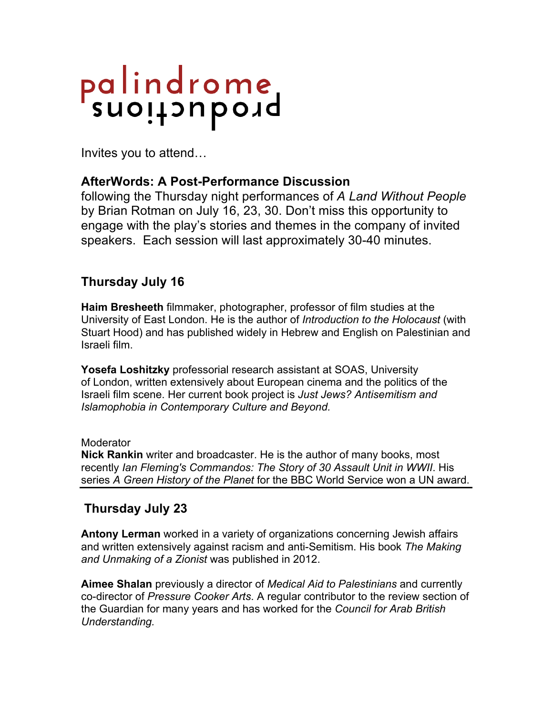# palindrome<br>suoitauboid

Invites you to attend…

## **AfterWords: A Post-Performance Discussion**

following the Thursday night performances of *A Land Without People*  by Brian Rotman on July 16, 23, 30. Don't miss this opportunity to engage with the play's stories and themes in the company of invited speakers. Each session will last approximately 30-40 minutes.

# **Thursday July 16**

**Haim Bresheeth** filmmaker, photographer, professor of film studies at the University of East London. He is the author of *Introduction to the Holocaust* (with Stuart Hood) and has published widely in Hebrew and English on Palestinian and Israeli film.

**Yosefa Loshitzky** professorial research assistant at SOAS, University of London, written extensively about European cinema and the politics of the Israeli film scene. Her current book project is *Just Jews? Antisemitism and Islamophobia in Contemporary Culture and Beyond.*

### **Moderator**

**Nick Rankin** writer and broadcaster. He is the author of many books, most recently *Ian Fleming's Commandos: The Story of 30 Assault Unit in WWII*. His series *A Green History of the Planet* for the BBC World Service won a UN award.

# **Thursday July 23**

**Antony Lerman** worked in a variety of organizations concerning Jewish affairs and written extensively against racism and anti-Semitism. His book *The Making and Unmaking of a Zionist* was published in 2012.

**Aimee Shalan** previously a director of *Medical Aid to Palestinians* and currently co-director of *Pressure Cooker Arts*. A regular contributor to the review section of the Guardian for many years and has worked for the *Council for Arab British Understanding.*